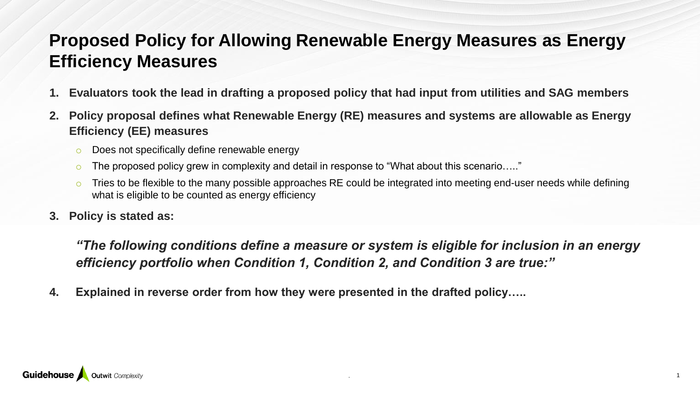#### **Proposed Policy for Allowing Renewable Energy Measures as Energy Efficiency Measures**

- **1. Evaluators took the lead in drafting a proposed policy that had input from utilities and SAG members**
- **2. Policy proposal defines what Renewable Energy (RE) measures and systems are allowable as Energy Efficiency (EE) measures**
	- o Does not specifically define renewable energy
	- o The proposed policy grew in complexity and detail in response to "What about this scenario....."
	- Tries to be flexible to the many possible approaches RE could be integrated into meeting end-user needs while defining what is eligible to be counted as energy efficiency
- **3. Policy is stated as:**

*"The following conditions define a measure or system is eligible for inclusion in an energy efficiency portfolio when Condition 1, Condition 2, and Condition 3 are true:"*

. **1** 

**4. Explained in reverse order from how they were presented in the drafted policy…..**

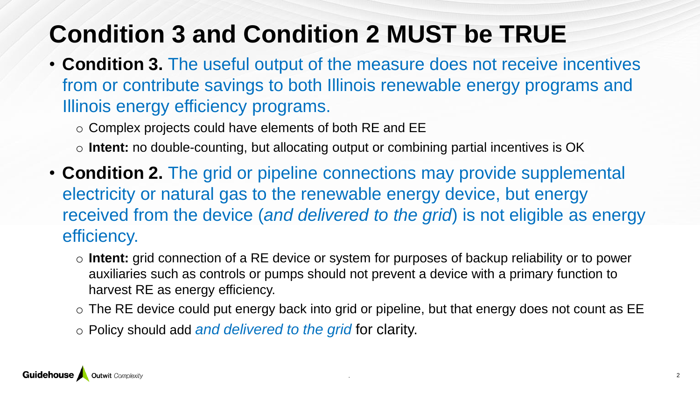# **Condition 3 and Condition 2 MUST be TRUE**

- **Condition 3.** The useful output of the measure does not receive incentives from or contribute savings to both Illinois renewable energy programs and Illinois energy efficiency programs.
	- o Complex projects could have elements of both RE and EE
	- o **Intent:** no double-counting, but allocating output or combining partial incentives is OK
- **Condition 2.** The grid or pipeline connections may provide supplemental electricity or natural gas to the renewable energy device, but energy received from the device (*and delivered to the grid*) is not eligible as energy efficiency.
	- o **Intent:** grid connection of a RE device or system for purposes of backup reliability or to power auxiliaries such as controls or pumps should not prevent a device with a primary function to harvest RE as energy efficiency.
	- $\circ$  The RE device could put energy back into grid or pipeline, but that energy does not count as EE
	- o Policy should add *and delivered to the grid* for clarity.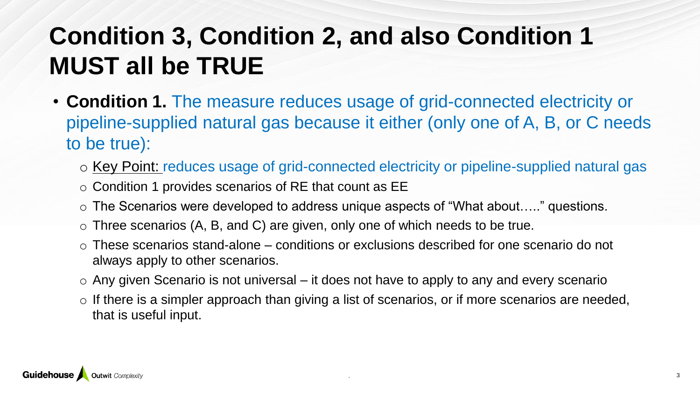## **Condition 3, Condition 2, and also Condition 1 MUST all be TRUE**

- **Condition 1.** The measure reduces usage of grid-connected electricity or pipeline-supplied natural gas because it either (only one of A, B, or C needs to be true):
	- o Key Point: reduces usage of grid-connected electricity or pipeline-supplied natural gas
	- o Condition 1 provides scenarios of RE that count as EE
	- o The Scenarios were developed to address unique aspects of "What about….." questions.
	- $\circ$  Three scenarios (A, B, and C) are given, only one of which needs to be true.
	- o These scenarios stand-alone conditions or exclusions described for one scenario do not always apply to other scenarios.
	- $\circ$  Any given Scenario is not universal it does not have to apply to any and every scenario
	- $\circ$  If there is a simpler approach than giving a list of scenarios, or if more scenarios are needed, that is useful input.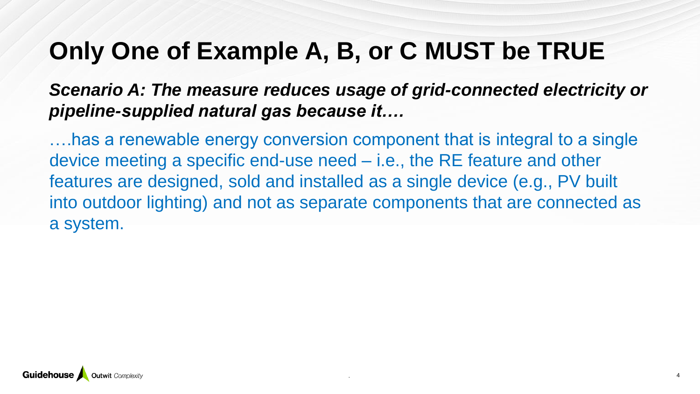### **Only One of Example A, B, or C MUST be TRUE**

#### *Scenario A: The measure reduces usage of grid-connected electricity or pipeline-supplied natural gas because it….*

….has a renewable energy conversion component that is integral to a single device meeting a specific end-use need – i.e., the RE feature and other features are designed, sold and installed as a single device (e.g., PV built into outdoor lighting) and not as separate components that are connected as a system.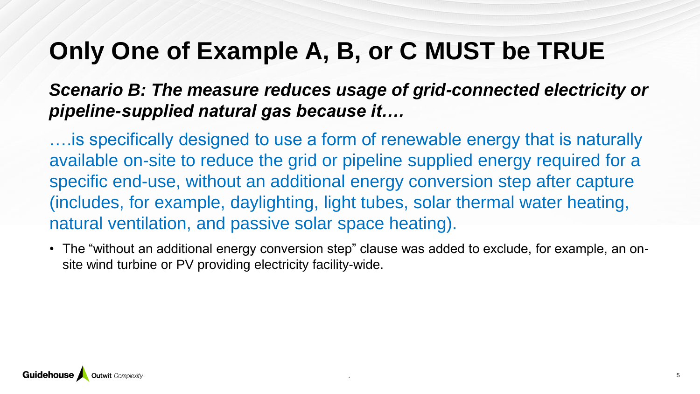### **Only One of Example A, B, or C MUST be TRUE**

#### *Scenario B: The measure reduces usage of grid-connected electricity or pipeline-supplied natural gas because it….*

….is specifically designed to use a form of renewable energy that is naturally available on-site to reduce the grid or pipeline supplied energy required for a specific end-use, without an additional energy conversion step after capture (includes, for example, daylighting, light tubes, solar thermal water heating, natural ventilation, and passive solar space heating).

• The "without an additional energy conversion step" clause was added to exclude, for example, an onsite wind turbine or PV providing electricity facility-wide.